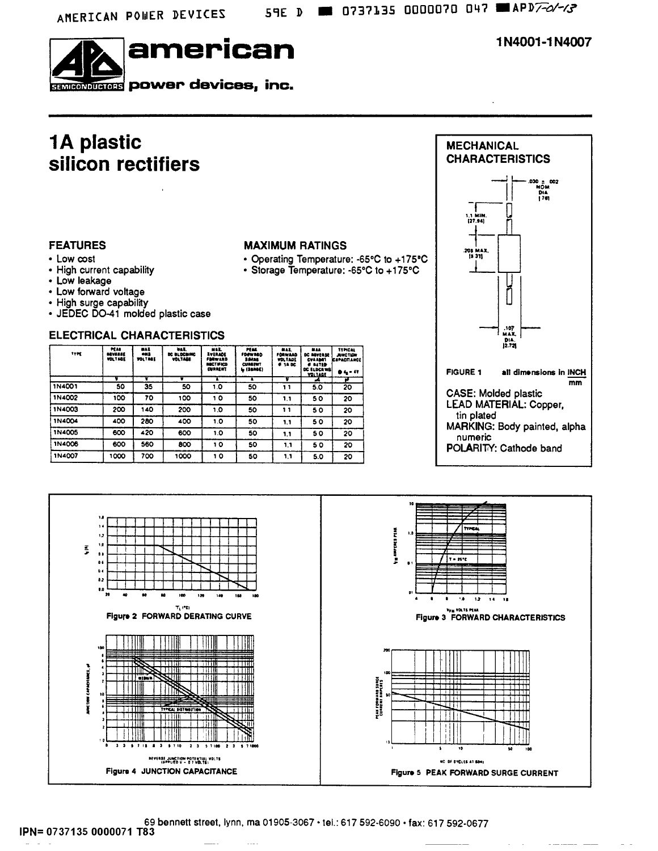

1N4001-1N4007

### **1A plastic** silicon rectifiers

#### **FEATURES**

- Low cost
- High current capability
- Low leakage
- Low forward voltage
- High surge capability
- · JEDEC DO-41 molded plastic case

#### **ELECTRICAL CHARACTERISTICS**

| <b>TYPE</b>   | PEAS<br><b>MYSSSE</b><br><b>VOLTAGE</b> | <b>MAX</b><br><b>OMS</b><br><b>TOLTRAE</b> | <b>DAL.</b><br>DC BLOCAING<br><b>VOLTABE</b> | <b>MEL</b><br><b><i><u>Lythant</u></i></b><br><b>FERWARD</b><br><b>BACTIFICD</b><br><b>CURRENT</b> | PEAR.<br><b>FDAWRED</b><br>3.9488<br><b>CUBBEWT</b><br><b>L. (SSRRE)</b> | MAL.<br>FORWARD<br><b>VOLTAGE</b><br><b># 14 DC</b> | 818.8<br><b>DC REVERSE</b><br>CVA ABIT<br><b>CASTID</b><br>DC ELDCRING<br><b>YDLTAGE</b> | <b>TTPICAL</b><br><b>JUNCTION</b><br><b>CSPACITANCE</b><br><b>04-47</b> |
|---------------|-----------------------------------------|--------------------------------------------|----------------------------------------------|----------------------------------------------------------------------------------------------------|--------------------------------------------------------------------------|-----------------------------------------------------|------------------------------------------------------------------------------------------|-------------------------------------------------------------------------|
|               |                                         |                                            |                                              | т                                                                                                  | ×                                                                        |                                                     | A                                                                                        | 7                                                                       |
| 1N4001        | 50                                      | 35                                         | 50                                           | 1.0                                                                                                | 50                                                                       | 11                                                  | 5.0                                                                                      | 20                                                                      |
| 1N4002        | 100                                     | 70                                         | 100                                          | 10                                                                                                 | 50                                                                       | 11                                                  | 50                                                                                       | 20                                                                      |
| 1N4003        | 200                                     | 140                                        | 200                                          | 1.0                                                                                                | 50                                                                       | 11                                                  | 50                                                                                       | 20                                                                      |
| 1N4004        | 400                                     | 280                                        | 400                                          | 1.0                                                                                                | 50                                                                       | 1.1                                                 | 50                                                                                       | 20                                                                      |
| 1N4005        | 600                                     | 420                                        | 600                                          | 1.0                                                                                                | 50                                                                       | 1.1                                                 | 50                                                                                       | 20                                                                      |
| <b>1N4006</b> | 600                                     | 560                                        | 800                                          | 10                                                                                                 | 50                                                                       | 1,1                                                 | 50                                                                                       | 20                                                                      |
| 1N4007        | 1000                                    | 700                                        | 1000                                         | 10                                                                                                 | 50                                                                       | 1.1                                                 | 5.0                                                                                      | 20                                                                      |





**MAXIMUM RATINGS** 

69 bennett street, lynn, ma 01905-3067 · tel.: 617 592-6090 · fax: 617 592-0677 IPN= 0737135 0000071 T83